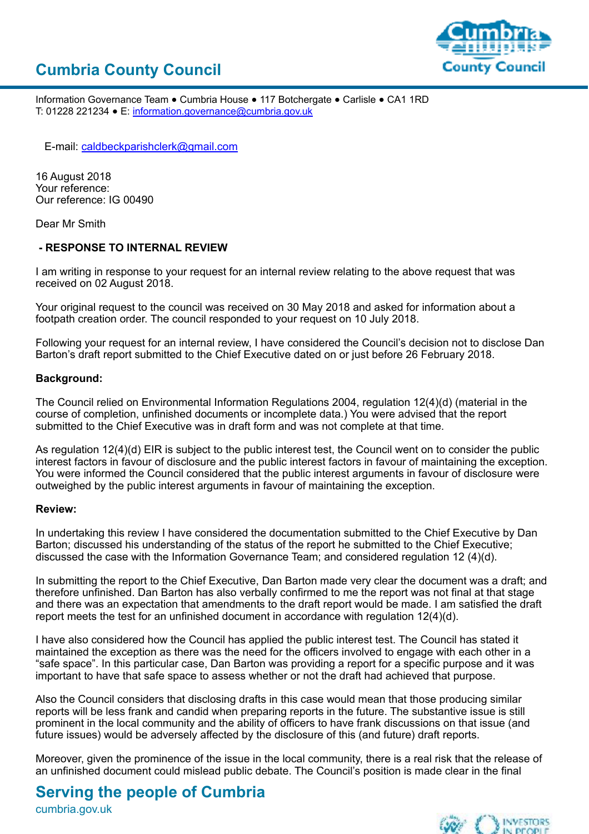



Information Governance Team ● Cumbria House ● 117 Botchergate ● Carlisle ● CA1 1RD T: 01228 221234 ● E: [information.governance@cumbria.gov.uk](mailto:information.governance@cumbria.gov.uk)

E-mail: [caldbeckparishclerk@gmail.com](mailto:caldbeckparishclerk@gmail.com)

16 August 2018 Your reference: Our reference: IG 00490

Dear Mr Smith

### **- RESPONSE TO INTERNAL REVIEW**

I am writing in response to your request for an internal review relating to the above request that was received on 02 August 2018.

Your original request to the council was received on 30 May 2018 and asked for information about a footpath creation order. The council responded to your request on 10 July 2018.

Following your request for an internal review, I have considered the Council's decision not to disclose Dan Barton's draft report submitted to the Chief Executive dated on or just before 26 February 2018.

### **Background:**

The Council relied on Environmental Information Regulations 2004, regulation 12(4)(d) (material in the course of completion, unfinished documents or incomplete data.) You were advised that the report submitted to the Chief Executive was in draft form and was not complete at that time.

As regulation 12(4)(d) EIR is subject to the public interest test, the Council went on to consider the public interest factors in favour of disclosure and the public interest factors in favour of maintaining the exception. You were informed the Council considered that the public interest arguments in favour of disclosure were outweighed by the public interest arguments in favour of maintaining the exception.

### **Review:**

In undertaking this review I have considered the documentation submitted to the Chief Executive by Dan Barton; discussed his understanding of the status of the report he submitted to the Chief Executive; discussed the case with the Information Governance Team; and considered regulation 12 (4)(d).

In submitting the report to the Chief Executive, Dan Barton made very clear the document was a draft; and therefore unfinished. Dan Barton has also verbally confirmed to me the report was not final at that stage and there was an expectation that amendments to the draft report would be made. I am satisfied the draft report meets the test for an unfinished document in accordance with regulation 12(4)(d).

I have also considered how the Council has applied the public interest test. The Council has stated it maintained the exception as there was the need for the officers involved to engage with each other in a "safe space". In this particular case, Dan Barton was providing a report for a specific purpose and it was important to have that safe space to assess whether or not the draft had achieved that purpose.

Also the Council considers that disclosing drafts in this case would mean that those producing similar reports will be less frank and candid when preparing reports in the future. The substantive issue is still prominent in the local community and the ability of officers to have frank discussions on that issue (and future issues) would be adversely affected by the disclosure of this (and future) draft reports.

Moreover, given the prominence of the issue in the local community, there is a real risk that the release of an unfinished document could mislead public debate. The Council's position is made clear in the final

## **Serving the people of Cumbria**

cumbria.gov.uk